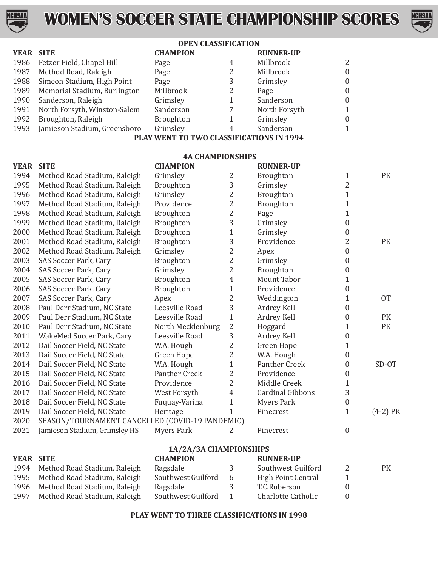



### **OPEN CLASSIFICATION**

| <b>YEAR SITE</b> |                              | <b>CHAMPION</b>  |   | <b>RUNNER-UP</b> |              |
|------------------|------------------------------|------------------|---|------------------|--------------|
| 1986             | Fetzer Field, Chapel Hill    | Page             | 4 | Millbrook        | 2            |
| 1987             | Method Road, Raleigh         | Page             | 2 | Millbrook        | $\theta$     |
| 1988             | Simeon Stadium, High Point   | Page             | 3 | Grimsley         | $\theta$     |
| 1989             | Memorial Stadium, Burlington | Millbrook        | 2 | Page             | $\theta$     |
| 1990             | Sanderson, Raleigh           | Grimsley         | 1 | Sanderson        | $\theta$     |
| 1991             | North Forsyth, Winston-Salem | Sanderson        |   | North Forsyth    | $\mathbf{1}$ |
| 1992             | Broughton, Raleigh           | <b>Broughton</b> |   | Grimsley         | $\theta$     |
| 1993             | Jamieson Stadium, Greensboro | Grimsley         | 4 | Sanderson        | $\mathbf{1}$ |
|                  |                              |                  |   |                  |              |

**PLAY WENT TO TWO CLASSIFICATIONS IN 1994**

| <b>4A CHAMPIONSHIPS</b> |                                                 |                      |                |                           |                  |            |
|-------------------------|-------------------------------------------------|----------------------|----------------|---------------------------|------------------|------------|
| <b>YEAR</b>             | <b>SITE</b>                                     | <b>CHAMPION</b>      |                | <b>RUNNER-UP</b>          |                  |            |
| 1994                    | Method Road Stadium, Raleigh                    | Grimsley             | 2              | Broughton                 | $\mathbf{1}$     | PK         |
| 1995                    | Method Road Stadium, Raleigh                    | Broughton            | 3              | Grimsley                  | $\overline{2}$   |            |
| 1996                    | Method Road Stadium, Raleigh                    | Grimsley             | $\overline{c}$ | Broughton                 | $\mathbf{1}$     |            |
| 1997                    | Method Road Stadium, Raleigh                    | Providence           | $\overline{c}$ | Broughton                 | $\mathbf 1$      |            |
| 1998                    | Method Road Stadium, Raleigh                    | Broughton            | $\overline{c}$ | Page                      | $\mathbf{1}$     |            |
| 1999                    | Method Road Stadium, Raleigh                    | Broughton            | 3              | Grimsley                  | $\boldsymbol{0}$ |            |
| 2000                    | Method Road Stadium, Raleigh                    | Broughton            | $\mathbf{1}$   | Grimsley                  | 0                |            |
| 2001                    | Method Road Stadium, Raleigh                    | Broughton            | 3              | Providence                | 2                | PK         |
| 2002                    | Method Road Stadium, Raleigh                    | Grimsley             | $\overline{c}$ | Apex                      | $\boldsymbol{0}$ |            |
| 2003                    | SAS Soccer Park, Cary                           | Broughton            | $\overline{c}$ | Grimsley                  | $\boldsymbol{0}$ |            |
| 2004                    | SAS Soccer Park, Cary                           | Grimsley             | $\overline{2}$ | Broughton                 | 0                |            |
| 2005                    | SAS Soccer Park, Cary                           | Broughton            | 4              | <b>Mount Tabor</b>        | 1                |            |
| 2006                    | SAS Soccer Park, Cary                           | Broughton            | $\mathbf{1}$   | Providence                | 0                |            |
| 2007                    | SAS Soccer Park, Cary                           | Apex                 | 2              | Weddington                | 1                | <b>OT</b>  |
| 2008                    | Paul Derr Stadium, NC State                     | Leesville Road       | 3              | Ardrey Kell               | 0                |            |
| 2009                    | Paul Derr Stadium, NC State                     | Leesville Road       | $\mathbf{1}$   | Ardrey Kell               | 0                | PK         |
| 2010                    | Paul Derr Stadium, NC State                     | North Mecklenburg    | $\overline{c}$ | Hoggard                   | 1                | PK         |
| 2011                    | WakeMed Soccer Park, Cary                       | Leesville Road       | 3              | Ardrey Kell               | 0                |            |
| 2012                    | Dail Soccer Field, NC State                     | W.A. Hough           | 2              | Green Hope                | 1                |            |
| 2013                    | Dail Soccer Field, NC State                     | Green Hope           | 2              | W.A. Hough                | 0                |            |
| 2014                    | Dail Soccer Field, NC State                     | W.A. Hough           | $\mathbf{1}$   | Panther Creek             | 0                | SD-OT      |
| 2015                    | Dail Soccer Field, NC State                     | <b>Panther Creek</b> | $\overline{2}$ | Providence                | 0                |            |
| 2016                    | Dail Soccer Field, NC State                     | Providence           | 2              | Middle Creek              | 1                |            |
| 2017                    | Dail Soccer Field, NC State                     | West Forsyth         | $\overline{4}$ | <b>Cardinal Gibbons</b>   | 3                |            |
| 2018                    | Dail Soccer Field, NC State                     | Fuquay-Varina        | $\mathbf{1}$   | <b>Myers Park</b>         | $\boldsymbol{0}$ |            |
| 2019                    | Dail Soccer Field, NC State                     | Heritage             | $\mathbf{1}$   | Pinecrest                 | $\mathbf{1}$     | $(4-2)$ PK |
| 2020                    | SEASON/TOURNAMENT CANCELLED (COVID-19 PANDEMIC) |                      |                |                           |                  |            |
| 2021                    | Jamieson Stadium, Grimsley HS                   | <b>Myers Park</b>    | 2              | Pinecrest                 | $\boldsymbol{0}$ |            |
| 1A/2A/3A CHAMPIONSHIPS  |                                                 |                      |                |                           |                  |            |
| YEAR SITE               |                                                 | <b>CHAMPION</b>      |                | <b>RUNNER-UP</b>          |                  |            |
| 1994                    | Method Road Stadium, Raleigh                    | Ragsdale             | 3              | Southwest Guilford        | 2                | PK         |
| 1995                    | Method Road Stadium, Raleigh                    | Southwest Guilford   | 6              | <b>High Point Central</b> | $\mathbf{1}$     |            |
| 1996                    | Method Road Stadium, Raleigh                    | Ragsdale             | 3              | T.C.Roberson              | $\boldsymbol{0}$ |            |
| 1997                    | Method Road Stadium, Raleigh                    | Southwest Guilford   | $\mathbf{1}$   | <b>Charlotte Catholic</b> | $\boldsymbol{0}$ |            |

### **PLAY WENT TO THREE CLASSIFICATIONS IN 1998**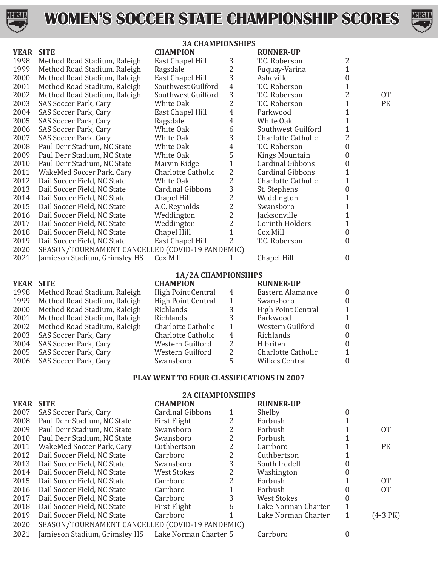



#### **3A CHAMPIONSHIPS YEAR SITE CHAMPION RUNNER-UP**<br>1998 Method Road Stadium, Raleigh East Chanel Hill 3 T.C. Roberson 1998 Method Road Stadium, Raleigh East Chapel Hill 3 T.C. Roberson 2<br>1999 Method Road Stadium, Raleigh Ragsdale 2 Fuquay-Varina 1 1999 Method Road Stadium, Raleigh Ragsdale and 2 Fuquay-Varina 1<br>1900 Method Road Stadium, Raleigh East Chapel Hill 3 Asheville 3 Asheville 2000 Method Road Stadium, Raleigh East Chapel Hill 3 Asheville 1 0<br>2001 Method Road Stadium, Raleigh Southwest Guilford 4 T.C. Roberson 1 2001 Method Road Stadium, Raleigh Southwest Guilford 4 T.C. Roberson 1<br>2002 Method Road Stadium, Raleigh Southwest Guilford 3 T.C. Roberson 2 2002 Method Road Stadium, Raleigh Southwest Guilford 3 T.C. Roberson 2 2 OT<br>2003 SAS Soccer Park. Cary White Oak 2 T.C. Roberson 1 PK 2003 SAS Soccer Park, Cary White Oak 2 T.C. Roberson 1 PK 2004 SAS Soccer Park, Cary East Chapel Hill 4 Parkwood 1 2005 SAS Soccer Park, Cary Ragsdale 4 White Oak 1 2006 SAS Soccer Park, Cary White Oak 6 Southwest Guilford 1 2007 SAS Soccer Park, Cary  $\begin{array}{ccc}\n 2007 & SAS$  Soccer Park, Cary  $\begin{array}{ccc}\n 2008 & Paul \text{ Derr} \text{ Stadium.} \text{NC} \text{ State} \\
 \end{array} & \begin{array}{ccc}\n 0 \\
 1\n \end{array} & \begin{array}{ccc}\n 3 \\
 4\n \end{array} & \begin{array}{ccc}\n 2 \\
 7\n \end{array} & \begin{array}{ccc}\n 2\n \end{array} & \begin{array}{ccc}\n 2\n \end{array} & \begin{array}{ccc}\n 3\n \end{array}$ 2008 Paul Derr Stadium, NC State White Oak  $\begin{array}{ccc} 4 & \text{T.C. Robertson} & 0 \\ 2009 & \text{Paul Derr Stadium. NC State} & \text{White Oak} & 5 & \text{Kings Mountain} \end{array}$ 2009 Paul Derr Stadium, NC State Mhite Oak 5 Kings Mountain 0<br>2010 Paul Derr Stadium, NC State Marvin Ridge 1 Cardinal Gibbons 0 2010 Paul Derr Stadium, NC State Marvin Ridge 1 Cardinal Gibbons 0<br>2011 WakeMed Soccer Park, Cary Charlotte Catholic 2 Cardinal Gibbons 1 2011 WakeMed Soccer Park, Cary and Charlotte Catholic 2 and Cardinal Gibbons 1<br>2012 Dail Soccer Field, NC State 1 White Oak 2 Charlotte Catholic 1 2012 Dail Soccer Field, NC State  $\begin{array}{ccc}\n & \text{White Oak} \\
2013 & \text{Dail Soccer Field, NC State} \\
 & \text{Cardinal Gibbs} \\
 & 3 \\
 & \text{St. Stephens}\n\end{array}$ 2013 Dail Soccer Field, NC State Cardinal Gibbons 3 St. Stephens 0<br>2014 Dail Soccer Field, NC State Chapel Hill 2 Weddington 1 2014 Dail Soccer Field, NC State Chapel Hill 2 Weddington 1<br>2015 Dail Soccer Field, NC State A.C. Reynolds 2 Swansboro 1 2015 Dail Soccer Field, NC State A.C. Reynolds 2 Swansboro 1<br>2016 Dail Soccer Field. NC State Weddington 2 lacksonville 1 2016 Dail Soccer Field, NC State Weddington 2 Jacksonville 1 2017 Dail Soccer Field, NC State 1 Weddington 2 Corinth Holders 1<br>
2018 Dail Soccer Field, NC State 1 Chapel Hill 1 Cox Mill 0 2018 Dail Soccer Field, NC State Chapel Hill 1 Cox Mill 0 0<br>2019 Dail Soccer Field, NC State East Chapel Hill 2 T.C. Roberson 0 2019 Dail Soccer Field, NC State<br>2020 SEASON/TOURNAMENT C. 2020 SEASON/TOURNAMENT CANCELLED (COVID-19 PANDEMIC)<br>2021 Iamieson Stadium, Grimslev HS Cox Mill 1 Iamieson Stadium, Grimsley HS Cox Mill 1 Chapel Hill 0 **1A/2A CHAMPIONSHIPS YEAR SITE CHAMPION RUNNER-UP**<br>1998 Method Road Stadium. Raleigh High Point Central 4 **Eastern Alamance** 1998 Method Road Stadium, Raleigh High Point Central 4 Eastern Alamance 0<br>1999 Method Road Stadium, Raleigh High Point Central 1 Swansboro 0 1999 Method Road Stadium, Raleigh High Point Central 1 Swansboro 0 0<br>2000 Method Road Stadium. Raleigh Richlands 3 High Point Central 1 2000 Method Road Stadium, Raleigh Richlands 3 High Point Central 1 2001 Method Road Stadium, Raleigh Richlands 3 Parkwood 1 2002 Method Road Stadium, Raleigh Charlotte Catholic 1 Western Guilford 0 2002 Method Road Stadium, Raleigh Charlotte Catholic 1 Western Guilford 0<br>2003 SAS Soccer Park. Cary Charlotte Catholic 4 Richlands 0 2003 SAS Soccer Park, Cary Charlotte Catholic 4 Richlands 0 2004 SAS Soccer Park, Cary Western Guilford 2 Hibriten 0 2005 SAS Soccer Park, Cary Western Guilford 2 Charlotte Catholic 1 SAS Soccer Park, Cary

# **PLAY WENT TO FOUR CLASSIFICATIONS IN 2007 2A CHAMPIONSHIPS**

|      |                                                 | ZA UHAMPIUNSHIPS        |   |                     |          |             |
|------|-------------------------------------------------|-------------------------|---|---------------------|----------|-------------|
| YEAR | <b>SITE</b>                                     | <b>CHAMPION</b>         |   | <b>RUNNER-UP</b>    |          |             |
| 2007 | SAS Soccer Park, Cary                           | <b>Cardinal Gibbons</b> |   | Shelby              |          |             |
| 2008 | Paul Derr Stadium, NC State                     | First Flight            |   | Forbush             |          |             |
| 2009 | Paul Derr Stadium, NC State                     | Swansboro               | 2 | Forbush             |          | <b>OT</b>   |
| 2010 | Paul Derr Stadium, NC State                     | Swansboro               | 2 | Forbush             |          |             |
| 2011 | WakeMed Soccer Park, Cary                       | Cuthbertson             | 2 | Carrboro            |          | PK          |
| 2012 | Dail Soccer Field, NC State                     | Carrboro                | 2 | Cuthbertson         |          |             |
| 2013 | Dail Soccer Field, NC State                     | Swansboro               | 3 | South Iredell       |          |             |
| 2014 | Dail Soccer Field, NC State                     | West Stokes             | 2 | Washington          |          |             |
| 2015 | Dail Soccer Field, NC State                     | Carrboro                | 2 | Forbush             |          | <b>OT</b>   |
| 2016 | Dail Soccer Field, NC State                     | Carrboro                |   | Forbush             |          | <b>OT</b>   |
| 2017 | Dail Soccer Field, NC State                     | Carrboro                | 3 | West Stokes         |          |             |
| 2018 | Dail Soccer Field, NC State                     | First Flight            | 6 | Lake Norman Charter |          |             |
| 2019 | Dail Soccer Field, NC State                     | Carrboro                |   | Lake Norman Charter |          | $(4-3)$ PK) |
| 2020 | SEASON/TOURNAMENT CANCELLED (COVID-19 PANDEMIC) |                         |   |                     |          |             |
| 2021 | Jamieson Stadium, Grimsley HS                   | Lake Norman Charter 5   |   | Carrboro            | $^{(1)}$ |             |